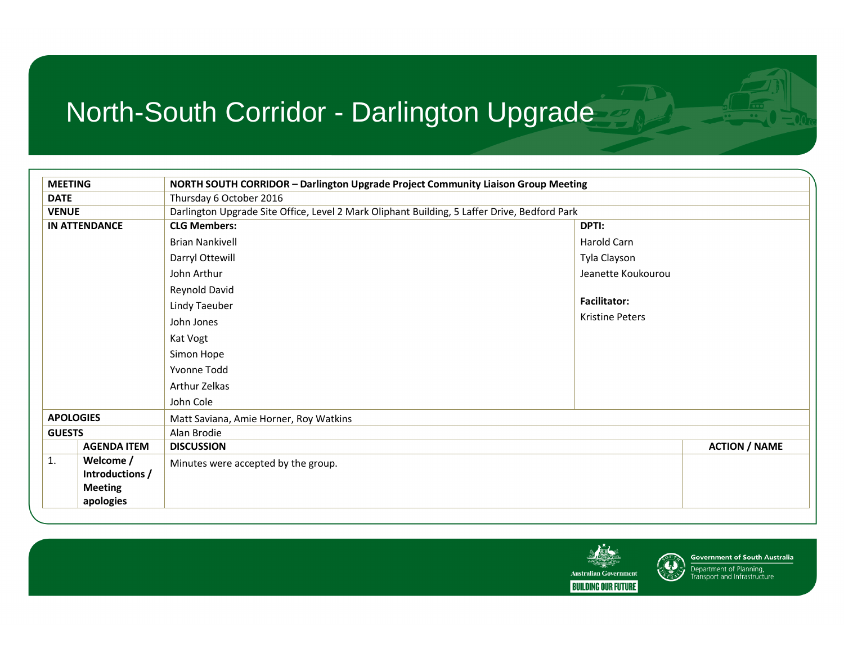| <b>MEETING</b>   |                      | NORTH SOUTH CORRIDOR - Darlington Upgrade Project Community Liaison Group Meeting            |                        |                      |
|------------------|----------------------|----------------------------------------------------------------------------------------------|------------------------|----------------------|
| <b>DATE</b>      |                      | Thursday 6 October 2016                                                                      |                        |                      |
| <b>VENUE</b>     |                      | Darlington Upgrade Site Office, Level 2 Mark Oliphant Building, 5 Laffer Drive, Bedford Park |                        |                      |
|                  | <b>IN ATTENDANCE</b> | <b>CLG Members:</b><br>DPTI:                                                                 |                        |                      |
|                  |                      | <b>Brian Nankivell</b><br>Harold Carn                                                        |                        |                      |
|                  |                      | Darryl Ottewill<br>Tyla Clayson                                                              |                        |                      |
|                  |                      | John Arthur                                                                                  | Jeanette Koukourou     |                      |
|                  |                      | Reynold David                                                                                |                        |                      |
|                  |                      | <b>Facilitator:</b><br><b>Lindy Taeuber</b>                                                  |                        |                      |
|                  |                      | John Jones                                                                                   | <b>Kristine Peters</b> |                      |
|                  |                      | Kat Vogt                                                                                     |                        |                      |
|                  |                      | Simon Hope                                                                                   |                        |                      |
|                  |                      | Yvonne Todd                                                                                  |                        |                      |
|                  |                      | Arthur Zelkas                                                                                |                        |                      |
|                  |                      | John Cole                                                                                    |                        |                      |
| <b>APOLOGIES</b> |                      | Matt Saviana, Amie Horner, Roy Watkins                                                       |                        |                      |
| <b>GUESTS</b>    |                      | Alan Brodie                                                                                  |                        |                      |
|                  | <b>AGENDA ITEM</b>   | <b>DISCUSSION</b>                                                                            |                        | <b>ACTION / NAME</b> |
| 1.               | Welcome /            | Minutes were accepted by the group.                                                          |                        |                      |
|                  | Introductions /      |                                                                                              |                        |                      |
|                  | <b>Meeting</b>       |                                                                                              |                        |                      |
|                  | apologies            |                                                                                              |                        |                      |





Department of Planning,<br>Transport and Infrastructure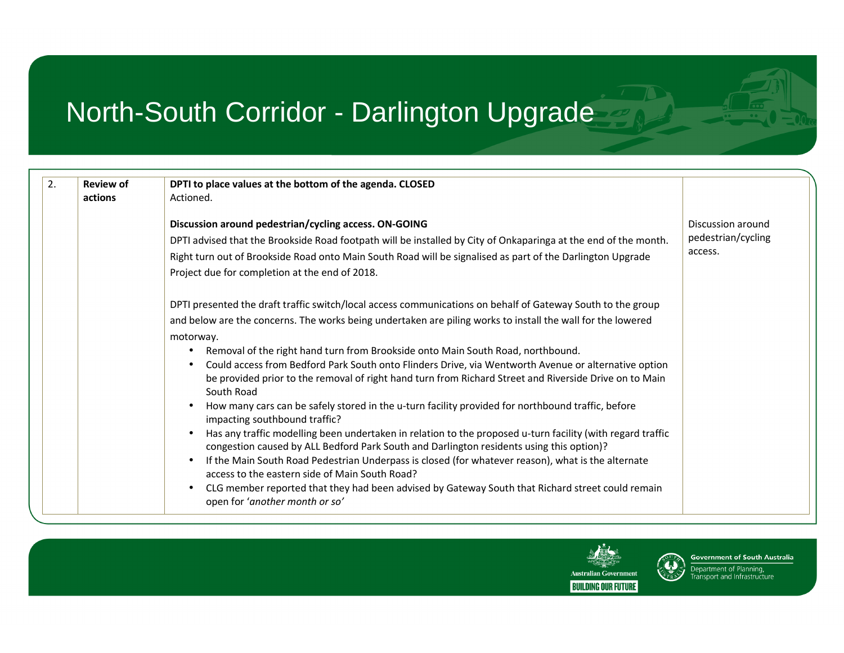| 2.<br><b>Review of</b> | DPTI to place values at the bottom of the agenda. CLOSED                                                                                                                                                                                                                                                                                                                                                                                                                                                                                                                                                                                                                                                                                                                                                                                                                                                                                                                                                                                                                                                                                                                                                                                                          |                                                    |
|------------------------|-------------------------------------------------------------------------------------------------------------------------------------------------------------------------------------------------------------------------------------------------------------------------------------------------------------------------------------------------------------------------------------------------------------------------------------------------------------------------------------------------------------------------------------------------------------------------------------------------------------------------------------------------------------------------------------------------------------------------------------------------------------------------------------------------------------------------------------------------------------------------------------------------------------------------------------------------------------------------------------------------------------------------------------------------------------------------------------------------------------------------------------------------------------------------------------------------------------------------------------------------------------------|----------------------------------------------------|
| actions                | Actioned.                                                                                                                                                                                                                                                                                                                                                                                                                                                                                                                                                                                                                                                                                                                                                                                                                                                                                                                                                                                                                                                                                                                                                                                                                                                         |                                                    |
|                        | Discussion around pedestrian/cycling access. ON-GOING<br>DPTI advised that the Brookside Road footpath will be installed by City of Onkaparinga at the end of the month.<br>Right turn out of Brookside Road onto Main South Road will be signalised as part of the Darlington Upgrade<br>Project due for completion at the end of 2018.                                                                                                                                                                                                                                                                                                                                                                                                                                                                                                                                                                                                                                                                                                                                                                                                                                                                                                                          | Discussion around<br>pedestrian/cycling<br>access. |
|                        | DPTI presented the draft traffic switch/local access communications on behalf of Gateway South to the group<br>and below are the concerns. The works being undertaken are piling works to install the wall for the lowered<br>motorway.<br>Removal of the right hand turn from Brookside onto Main South Road, northbound.<br>Could access from Bedford Park South onto Flinders Drive, via Wentworth Avenue or alternative option<br>٠<br>be provided prior to the removal of right hand turn from Richard Street and Riverside Drive on to Main<br>South Road<br>How many cars can be safely stored in the u-turn facility provided for northbound traffic, before<br>$\bullet$<br>impacting southbound traffic?<br>Has any traffic modelling been undertaken in relation to the proposed u-turn facility (with regard traffic<br>$\bullet$<br>congestion caused by ALL Bedford Park South and Darlington residents using this option)?<br>If the Main South Road Pedestrian Underpass is closed (for whatever reason), what is the alternate<br>$\bullet$<br>access to the eastern side of Main South Road?<br>CLG member reported that they had been advised by Gateway South that Richard street could remain<br>$\bullet$<br>open for 'another month or so' |                                                    |



**Government of South Australia** Department of Planning, Fransport and Infrastructure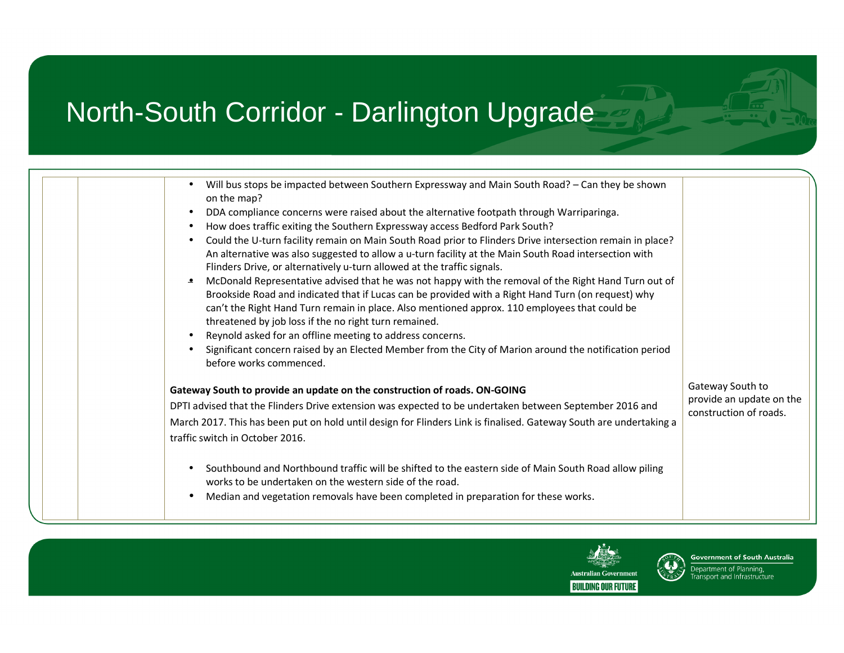| Will bus stops be impacted between Southern Expressway and Main South Road? - Can they be shown                                                                                 |                          |
|---------------------------------------------------------------------------------------------------------------------------------------------------------------------------------|--------------------------|
| on the map?                                                                                                                                                                     |                          |
| DDA compliance concerns were raised about the alternative footpath through Warriparinga.                                                                                        |                          |
| How does traffic exiting the Southern Expressway access Bedford Park South?                                                                                                     |                          |
| Could the U-turn facility remain on Main South Road prior to Flinders Drive intersection remain in place?                                                                       |                          |
| An alternative was also suggested to allow a u-turn facility at the Main South Road intersection with                                                                           |                          |
| Flinders Drive, or alternatively u-turn allowed at the traffic signals.<br>McDonald Representative advised that he was not happy with the removal of the Right Hand Turn out of |                          |
| Brookside Road and indicated that if Lucas can be provided with a Right Hand Turn (on request) why                                                                              |                          |
| can't the Right Hand Turn remain in place. Also mentioned approx. 110 employees that could be                                                                                   |                          |
| threatened by job loss if the no right turn remained.                                                                                                                           |                          |
| Reynold asked for an offline meeting to address concerns.                                                                                                                       |                          |
| Significant concern raised by an Elected Member from the City of Marion around the notification period<br>before works commenced.                                               |                          |
| Gateway South to provide an update on the construction of roads. ON-GOING                                                                                                       | Gateway South to         |
| DPTI advised that the Flinders Drive extension was expected to be undertaken between September 2016 and                                                                         | provide an update on the |
| March 2017. This has been put on hold until design for Flinders Link is finalised. Gateway South are undertaking a                                                              | construction of roads.   |
| traffic switch in October 2016.                                                                                                                                                 |                          |
|                                                                                                                                                                                 |                          |
| Southbound and Northbound traffic will be shifted to the eastern side of Main South Road allow piling                                                                           |                          |
| works to be undertaken on the western side of the road.                                                                                                                         |                          |
| Median and vegetation removals have been completed in preparation for these works.                                                                                              |                          |
|                                                                                                                                                                                 |                          |



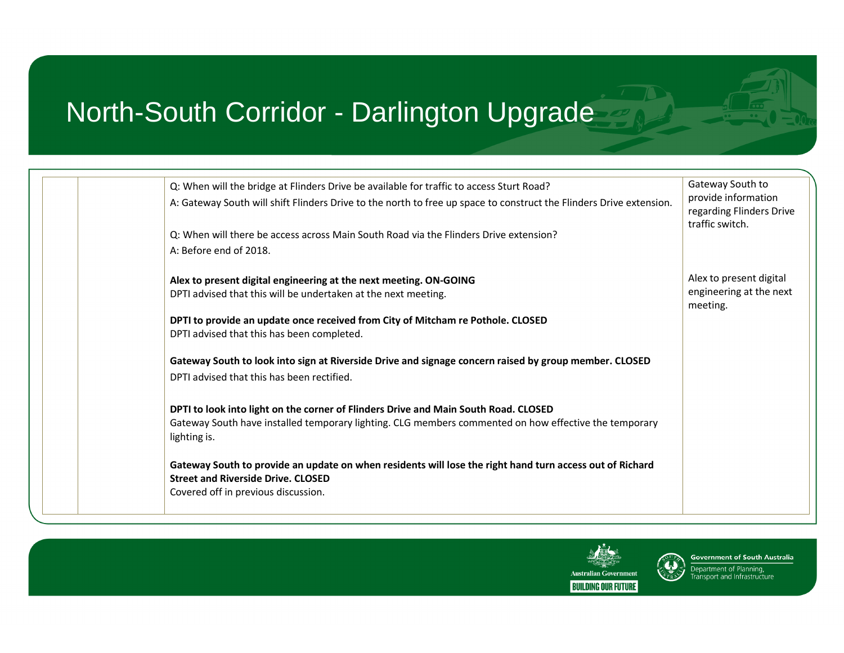| Q: When will the bridge at Flinders Drive be available for traffic to access Sturt Road?<br>A: Gateway South will shift Flinders Drive to the north to free up space to construct the Flinders Drive extension.<br>Q: When will there be access across Main South Road via the Flinders Drive extension? | Gateway South to<br>provide information<br>regarding Flinders Drive<br>traffic switch. |
|----------------------------------------------------------------------------------------------------------------------------------------------------------------------------------------------------------------------------------------------------------------------------------------------------------|----------------------------------------------------------------------------------------|
| A: Before end of 2018.<br>Alex to present digital engineering at the next meeting. ON-GOING<br>DPTI advised that this will be undertaken at the next meeting.<br>DPTI to provide an update once received from City of Mitcham re Pothole. CLOSED<br>DPTI advised that this has been completed.           | Alex to present digital<br>engineering at the next<br>meeting.                         |
| Gateway South to look into sign at Riverside Drive and signage concern raised by group member. CLOSED<br>DPTI advised that this has been rectified.<br>DPTI to look into light on the corner of Flinders Drive and Main South Road. CLOSED                                                               |                                                                                        |
| Gateway South have installed temporary lighting. CLG members commented on how effective the temporary<br>lighting is.<br>Gateway South to provide an update on when residents will lose the right hand turn access out of Richard<br><b>Street and Riverside Drive, CLOSED</b>                           |                                                                                        |
| Covered off in previous discussion.                                                                                                                                                                                                                                                                      |                                                                                        |



**Government of South Australia** Department of Planning,<br>Transport and Infrastructure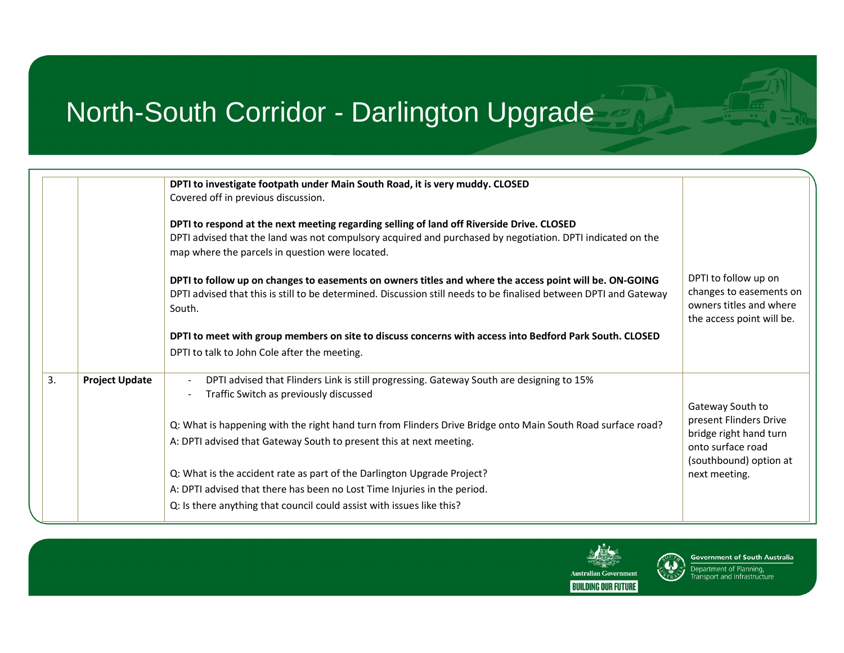|    |                       | DPTI to investigate footpath under Main South Road, it is very muddy. CLOSED<br>Covered off in previous discussion.                                           |                                                    |
|----|-----------------------|---------------------------------------------------------------------------------------------------------------------------------------------------------------|----------------------------------------------------|
|    |                       |                                                                                                                                                               |                                                    |
|    |                       | DPTI to respond at the next meeting regarding selling of land off Riverside Drive. CLOSED                                                                     |                                                    |
|    |                       | DPTI advised that the land was not compulsory acquired and purchased by negotiation. DPTI indicated on the<br>map where the parcels in question were located. |                                                    |
|    |                       | DPTI to follow up on changes to easements on owners titles and where the access point will be. ON-GOING                                                       | DPTI to follow up on                               |
|    |                       | DPTI advised that this is still to be determined. Discussion still needs to be finalised between DPTI and Gateway<br>South.                                   | changes to easements on<br>owners titles and where |
|    |                       |                                                                                                                                                               | the access point will be.                          |
|    |                       | DPTI to meet with group members on site to discuss concerns with access into Bedford Park South. CLOSED                                                       |                                                    |
|    |                       | DPTI to talk to John Cole after the meeting.                                                                                                                  |                                                    |
| 3. | <b>Project Update</b> | DPTI advised that Flinders Link is still progressing. Gateway South are designing to 15%                                                                      |                                                    |
|    |                       | Traffic Switch as previously discussed                                                                                                                        |                                                    |
|    |                       |                                                                                                                                                               | Gateway South to<br>present Flinders Drive         |
|    |                       | Q: What is happening with the right hand turn from Flinders Drive Bridge onto Main South Road surface road?                                                   | bridge right hand turn                             |
|    |                       | A: DPTI advised that Gateway South to present this at next meeting.                                                                                           | onto surface road                                  |
|    |                       |                                                                                                                                                               | (southbound) option at                             |
|    |                       | Q: What is the accident rate as part of the Darlington Upgrade Project?                                                                                       | next meeting.                                      |
|    |                       | A: DPTI advised that there has been no Lost Time Injuries in the period.                                                                                      |                                                    |
|    |                       | Q: Is there anything that council could assist with issues like this?                                                                                         |                                                    |
|    |                       |                                                                                                                                                               |                                                    |



**Government of South Australia** Department of Planning,<br>Transport and Infrastructure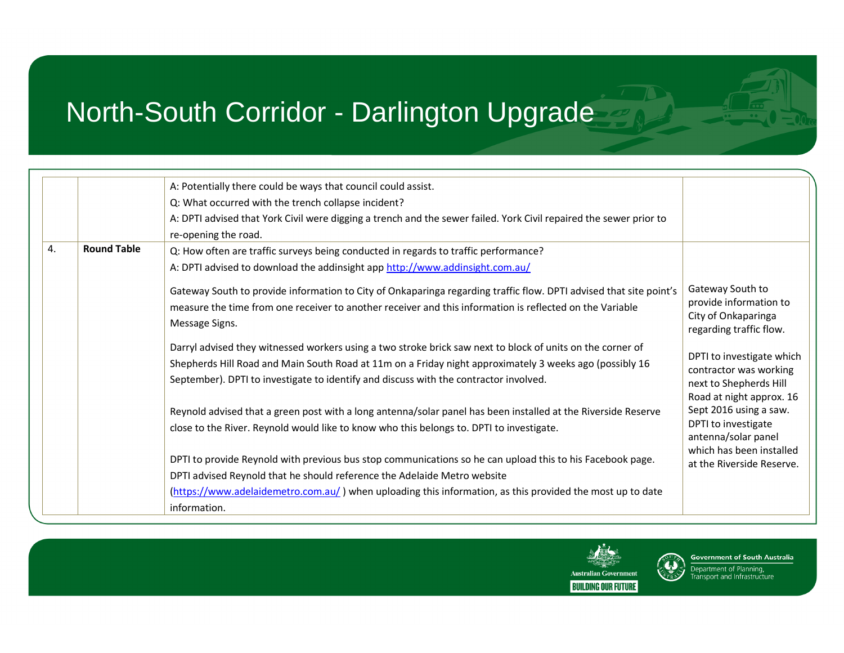|    |                    | A: Potentially there could be ways that council could assist.                                                                                                                                                                                                                                                  |                                                                                                           |
|----|--------------------|----------------------------------------------------------------------------------------------------------------------------------------------------------------------------------------------------------------------------------------------------------------------------------------------------------------|-----------------------------------------------------------------------------------------------------------|
|    |                    | Q: What occurred with the trench collapse incident?                                                                                                                                                                                                                                                            |                                                                                                           |
|    |                    | A: DPTI advised that York Civil were digging a trench and the sewer failed. York Civil repaired the sewer prior to                                                                                                                                                                                             |                                                                                                           |
|    |                    | re-opening the road.                                                                                                                                                                                                                                                                                           |                                                                                                           |
| 4. | <b>Round Table</b> | Q: How often are traffic surveys being conducted in regards to traffic performance?                                                                                                                                                                                                                            |                                                                                                           |
|    |                    | A: DPTI advised to download the addinsight app http://www.addinsight.com.au/                                                                                                                                                                                                                                   |                                                                                                           |
|    |                    | Gateway South to provide information to City of Onkaparinga regarding traffic flow. DPTI advised that site point's<br>measure the time from one receiver to another receiver and this information is reflected on the Variable<br>Message Signs.                                                               | Gateway South to<br>provide information to<br>City of Onkaparinga<br>regarding traffic flow.              |
|    |                    | Darryl advised they witnessed workers using a two stroke brick saw next to block of units on the corner of<br>Shepherds Hill Road and Main South Road at 11m on a Friday night approximately 3 weeks ago (possibly 16<br>September). DPTI to investigate to identify and discuss with the contractor involved. | DPTI to investigate which<br>contractor was working<br>next to Shepherds Hill<br>Road at night approx. 16 |
|    |                    | Reynold advised that a green post with a long antenna/solar panel has been installed at the Riverside Reserve<br>close to the River. Reynold would like to know who this belongs to. DPTI to investigate.                                                                                                      | Sept 2016 using a saw.<br>DPTI to investigate<br>antenna/solar panel                                      |
|    |                    | DPTI to provide Reynold with previous bus stop communications so he can upload this to his Facebook page.<br>DPTI advised Reynold that he should reference the Adelaide Metro website                                                                                                                          | which has been installed<br>at the Riverside Reserve.                                                     |
|    |                    | (https://www.adelaidemetro.com.au/) when uploading this information, as this provided the most up to date<br>information.                                                                                                                                                                                      |                                                                                                           |



**Government of South Australia** Department of Planning,<br>Transport and Infrastructure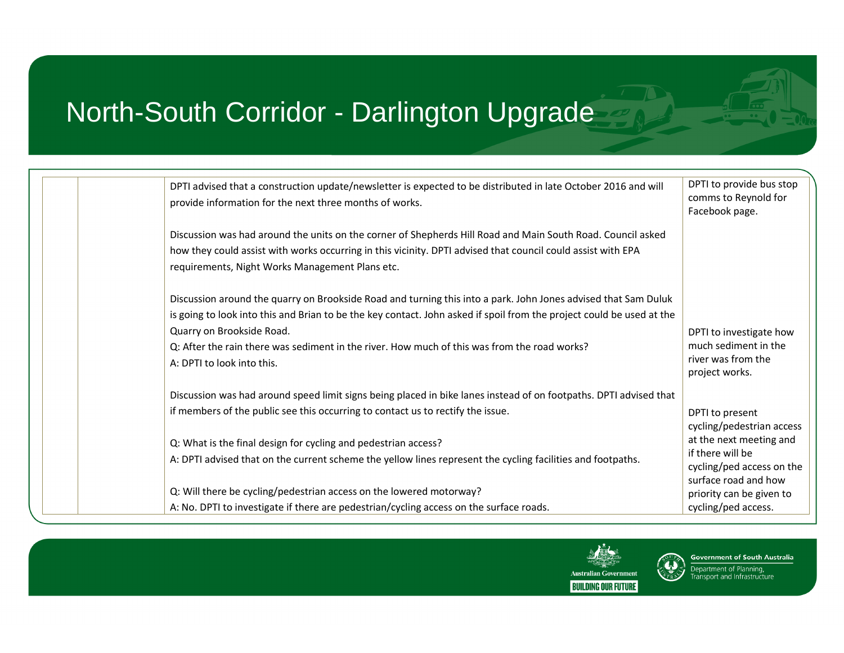| DPTI advised that a construction update/newsletter is expected to be distributed in late October 2016 and will<br>provide information for the next three months of works.                                                                                                                                                                                                                          | DPTI to provide bus stop<br>comms to Reynold for<br>Facebook page.                                                       |
|----------------------------------------------------------------------------------------------------------------------------------------------------------------------------------------------------------------------------------------------------------------------------------------------------------------------------------------------------------------------------------------------------|--------------------------------------------------------------------------------------------------------------------------|
| Discussion was had around the units on the corner of Shepherds Hill Road and Main South Road. Council asked<br>how they could assist with works occurring in this vicinity. DPTI advised that council could assist with EPA<br>requirements, Night Works Management Plans etc.                                                                                                                     |                                                                                                                          |
| Discussion around the quarry on Brookside Road and turning this into a park. John Jones advised that Sam Duluk<br>is going to look into this and Brian to be the key contact. John asked if spoil from the project could be used at the<br>Quarry on Brookside Road.<br>Q: After the rain there was sediment in the river. How much of this was from the road works?<br>A: DPTI to look into this. | DPTI to investigate how<br>much sediment in the<br>river was from the<br>project works.                                  |
| Discussion was had around speed limit signs being placed in bike lanes instead of on footpaths. DPTI advised that<br>if members of the public see this occurring to contact us to rectify the issue.<br>Q: What is the final design for cycling and pedestrian access?<br>A: DPTI advised that on the current scheme the yellow lines represent the cycling facilities and footpaths.              | DPTI to present<br>cycling/pedestrian access<br>at the next meeting and<br>if there will be<br>cycling/ped access on the |
| Q: Will there be cycling/pedestrian access on the lowered motorway?<br>A: No. DPTI to investigate if there are pedestrian/cycling access on the surface roads.                                                                                                                                                                                                                                     | surface road and how<br>priority can be given to<br>cycling/ped access.                                                  |